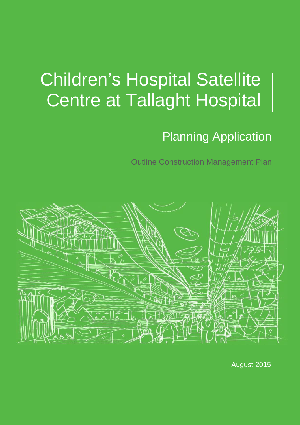# Planning Application

Outline Construction Management Plan



August 2015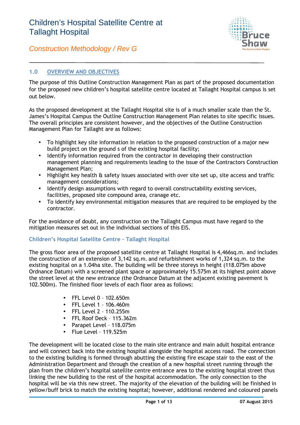

#### **1.0 OVERVIEW AND OBJECTIVES**

The purpose of this Outline Construction Management Plan as part of the proposed documentation for the proposed new children's hospital satellite centre located at Tallaght Hospital campus is set out below.

As the proposed development at the Tallaght Hospital site is of a much smaller scale than the St. James's Hospital Campus the Outline Construction Management Plan relates to site specific issues. The overall principles are consistent however, and the objectives of the Outline Construction Management Plan for Tallaght are as follows:

- To highlight key site information in relation to the proposed construction of a major new build project on the ground s of the existing hospital facility;
- Identify information required from the contractor in developing their construction management planning and requirements leading to the issue of the Contractors Construction Management Plan;
- Highlight key health & safety issues associated with over site set up, site access and traffic management considerations;
- Identify design assumptions with regard to overall constructability existing services, facilities, proposed site compound area, cranage etc.
- To identify key environmental mitigation measures that are required to be employed by the contractor.

For the avoidance of doubt, any construction on the Tallaght Campus must have regard to the mitigation measures set out in the individual sections of this EIS.

#### **Children's Hospital Satellite Centre – Tallaght Hospital**

The gross floor area of the proposed satellite centre at Tallaght Hospital is 4,466sq.m. and includes the construction of an extension of 3,142 sq.m. and refurbishment works of 1,324 sq.m. to the existing hospital on a 1.04ha site. The building will be three storeys in height (118.075m above Ordnance Datum) with a screened plant space or approximately 15.575m at its highest point above the street level at the new entrance (the Ordnance Datum at the adjacent existing pavement is 102.500m). The finished floor levels of each floor area as follows:

- FFL Level 0 102.650m
- FFL Level 1 106.460m
- FFL Level 2 110.255m
- FFL Roof Deck 115.362m
- Parapet Level 118.075m
- $\bullet$  Flue Level 119.525m

The development will be located close to the main site entrance and main adult hospital entrance and will connect back into the existing hospital alongside the hospital access road. The connection to the existing building is formed through abutting the existing fire escape stair to the east of the Administration Department and through the creation of a new hospital street running through the plan from the children's hospital satellite centre entrance area to the existing hospital street thus linking the new building to the rest of the hospital accommodation. The only connection to the hospital will be via this new street. The majority of the elevation of the building will be finished in yellow/buff brick to match the existing hospital; however, additional rendered and coloured panels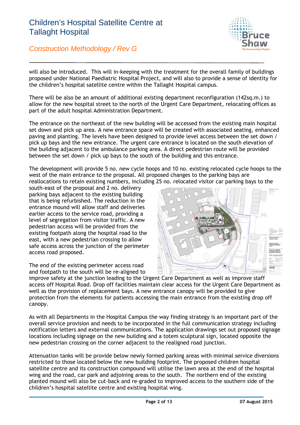

*Construction Methodology / Rev G*

will also be introduced. This will in-keeping with the treatment for the overall family of buildings proposed under National Paediatric Hospital Project, and will also to provide a sense of identity for the children's hospital satellite centre within the Tallaght Hospital campus.

There will be also be an amount of additional existing department reconfiguration (142sq.m.) to allow for the new hospital street to the north of the Urgent Care Department, relocating offices as part of the adult hospital Administration Department.

The entrance on the northeast of the new building will be accessed from the existing main hospital set down and pick up area. A new entrance space will be created with associated seating, enhanced paving and planting. The levels have been designed to provide level access between the set down / pick up bays and the new entrance. The urgent care entrance is located on the south elevation of the building adjacent to the ambulance parking area. A direct pedestrian route will be provided between the set down / pick up bays to the south of the building and this entrance.

The development will provide 5 no. new cycle hoops and 10 no. existing relocated cycle hoops to the west of the main entrance to the proposal. All proposed changes to the parking bays are reallocations to retain existing numbers, including 25 no. relocated visitor car parking bays to the

south-east of the proposal and 2 no. delivery parking bays adjacent to the existing building that is being refurbished. The reduction in the entrance mound will allow staff and deliveries earlier access to the service road, providing a level of segregation from visitor traffic. A new pedestrian access will be provided from the existing footpath along the hospital road to the east, with a new pedestrian crossing to allow safe access across the junction of the perimeter access road proposed.

The end of the existing perimeter access road and footpath to the south will be re-aligned to



improve safety at the junction leading to the Urgent Care Department as well as improve staff access off Hospital Road. Drop off facilities maintain clear access for the Urgent Care Department as well as the provision of replacement bays. A new entrance canopy will be provided to give protection from the elements for patients accessing the main entrance from the existing drop off canopy.

As with all Departments in the Hospital Campus the way finding strategy is an important part of the overall service provision and needs to be incorporated in the full communication strategy including notification letters and external communications. The application drawings set out proposed signage locations including signage on the new building and a totem sculptural sign, located opposite the new pedestrian crossing on the corner adjacent to the realigned road junction.

Attenuation tanks will be provide below newly formed parking areas with minimal service diversions restricted to those located below the new building footprint. The proposed children hospital satellite centre and its construction compound will utilise the lawn area at the end of the hospital wing and the road, car park and adjoining areas to the south. The northern end of the existing planted mound will also be cut-back and re-graded to improved access to the southern side of the children's hospital satellite centre and existing hospital wing.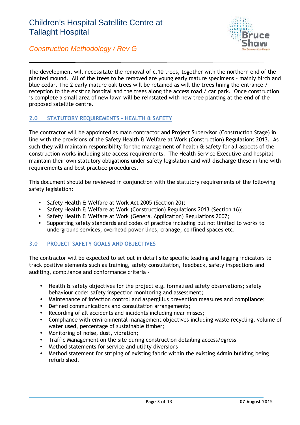

*Construction Methodology / Rev G*

The development will necessitate the removal of c.10 trees, together with the northern end of the planted mound. All of the trees to be removed are young early mature specimens – mainly birch and blue cedar. The 2 early mature oak trees will be retained as will the trees lining the entrance / reception to the existing hospital and the trees along the access road / car park. Once construction is complete a small area of new lawn will be reinstated with new tree planting at the end of the proposed satellite centre.

#### **2.0 STATUTORY REQUIREMENTS – HEALTH & SAFETY**

The contractor will be appointed as main contractor and Project Supervisor (Construction Stage) in line with the provisions of the Safety Health & Welfare at Work (Construction) Regulations 2013. As such they will maintain responsibility for the management of health & safety for all aspects of the construction works including site access requirements. The Health Service Executive and hospital maintain their own statutory obligations under safety legislation and will discharge these in line with requirements and best practice procedures.

This document should be reviewed in conjunction with the statutory requirements of the following safety legislation:

- Safety Health & Welfare at Work Act 2005 (Section 20);
- Safety Health & Welfare at Work (Construction) Regulations 2013 (Section 16);
- Safety Health & Welfare at Work (General Application) Regulations 2007;<br>• Supporting safety standards and codes of practice including but not limite
- Supporting safety standards and codes of practice including but not limited to works to underground services, overhead power lines, cranage, confined spaces etc.

#### **3.0 PROJECT SAFETY GOALS AND OBJECTIVES**

The contractor will be expected to set out in detail site specific leading and lagging indicators to track positive elements such as training, safety consultation, feedback, safety inspections and auditing, compliance and conformance criteria -

- Health & safety objectives for the project e.g. formalised safety observations; safety behaviour code; safety inspection monitoring and assessment;
- Maintenance of infection control and aspergillus prevention measures and compliance;
- Defined communications and consultation arrangements;
- Recording of all accidents and incidents including near misses;
- Compliance with environmental management objectives including waste recycling, volume of water used, percentage of sustainable timber;
- Monitoring of noise, dust, vibration;
- Traffic Management on the site during construction detailing access/egress
- Method statements for service and utility diversions
- Method statement for striping of existing fabric within the existing Admin building being refurbished.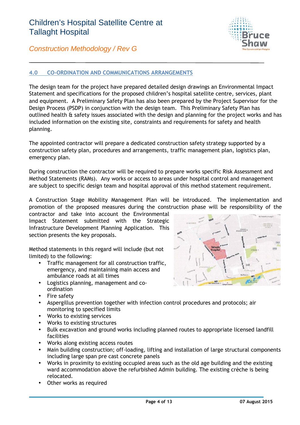

#### **4.0 CO-ORDINATION AND COMMUNICATIONS ARRANGEMENTS**

The design team for the project have prepared detailed design drawings an Environmental Impact Statement and specifications for the proposed children's hospital satellite centre, services, plant and equipment. A Preliminary Safety Plan has also been prepared by the Project Supervisor for the Design Process (PSDP) in conjunction with the design team. This Preliminary Safety Plan has outlined health & safety issues associated with the design and planning for the project works and has included information on the existing site, constraints and requirements for safety and health planning.

The appointed contractor will prepare a dedicated construction safety strategy supported by a construction safety plan, procedures and arrangements, traffic management plan, logistics plan, emergency plan.

During construction the contractor will be required to prepare works specific Risk Assessment and Method Statements (RAMs). Any works or access to areas under hospital control and management are subject to specific design team and hospital approval of this method statement requirement.

A Construction Stage Mobility Management Plan will be introduced. The implementation and promotion of the proposed measures during the construction phase will be responsibility of the

contractor and take into account the Environmental Impact Statement submitted with the Strategic Infrastructure Development Planning Application. This section presents the key proposals.

Method statements in this regard will include (but not limited) to the following:

- Traffic management for all construction traffic, emergency, and maintaining main access and ambulance roads at all times
- Logistics planning, management and co ordination
- Fire safety
- Aspergillus prevention together with infection control procedures and protocols; air monitoring to specified limits
- Works to existing services
- Works to existing structures
- Bulk excavation and ground works including planned routes to appropriate licensed landfill facilities
- Works along existing access routes
- Main building construction; off-loading, lifting and installation of large structural components including large span pre cast concrete panels
- Works in proximity to existing occupied areas such as the old age building and the existing ward accommodation above the refurbished Admin building. The existing crèche is being relocated.
- Other works as required

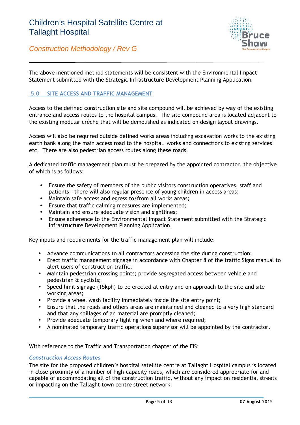

The above mentioned method statements will be consistent with the Environmental Impact Statement submitted with the Strategic Infrastructure Development Planning Application.

#### **5.0 SITE ACCESS AND TRAFFIC MANAGEMENT**

Access to the defined construction site and site compound will be achieved by way of the existing entrance and access routes to the hospital campus. The site compound area is located adjacent to the existing modular crèche that will be demolished as indicated on design layout drawings.

Access will also be required outside defined works areas including excavation works to the existing earth bank along the main access road to the hospital, works and connections to existing services etc. There are also pedestrian access routes along these roads.

A dedicated traffic management plan must be prepared by the appointed contractor, the objective of which is as follows:

- Ensure the safety of members of the public visitors construction operatives, staff and patients – there will also regular presence of young children in access areas;
- Maintain safe access and egress to/from all works areas;
- Ensure that traffic calming measures are implemented;
- Maintain and ensure adequate vision and sightlines;
- Ensure adherence to the Environmental Impact Statement submitted with the Strategic Infrastructure Development Planning Application.

Key inputs and requirements for the traffic management plan will include:

- Advance communications to all contractors accessing the site during construction;
- Erect traffic management signage in accordance with Chapter 8 of the traffic Signs manual to alert users of construction traffic;
- Maintain pedestrian crossing points; provide segregated access between vehicle and pedestrian & cyclists;
- Speed limit signage (15kph) to be erected at entry and on approach to the site and site working areas;
- Provide a wheel wash facility immediately inside the site entry point;
- Ensure that the roads and others areas are maintained and cleaned to a very high standard and that any spillages of an material are promptly cleaned;
- Provide adequate temporary lighting when and where required;
- A nominated temporary traffic operations supervisor will be appointed by the contractor.

With reference to the Traffic and Transportation chapter of the EIS:

#### *Construction Access Routes*

The site for the proposed children's hospital satellite centre at Tallaght Hospital campus is located in close proximity of a number of high-capacity roads, which are considered appropriate for and capable of accommodating all of the construction traffic, without any impact on residential streets or impacting on the Tallaght town centre street network.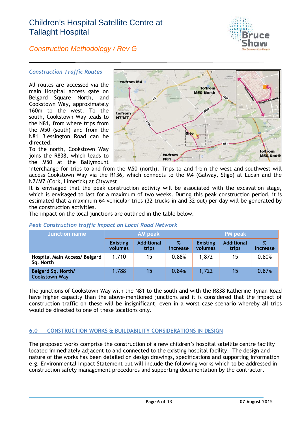

#### *Construction Methodology / Rev G*

#### *Construction Traffic Routes*

All routes are accessed via the **to to the MA** main Hospital access gate on Belgard Square North, and Cookstown Way, approximately 160 $m$  to the west. To the  $\frac{1}{10}$ south, Cookstown Way leads to **N7/M7** the N81, from where trips from the M50 (south) and from the N81 Blessington Road can be directed.

To the north, Cookstown Way joins the R838, which leads to the M50 at the Ballymount



interchange for trips to and from the M50 (north). Trips to and from the west and southwest will access Cookstown Way via the R136, which connects to the M4 (Galway, Sligo) at Lucan and the N7/M7 (Cork, Limerick) at Citywest.

It is envisaged that the peak construction activity will be associated with the excavation stage, which is envisaged to last for a maximum of two weeks. During this peak construction period, it is estimated that a maximum 64 vehicular trips (32 trucks in and 32 out) per day will be generated by the construction activities.

The impact on the local junctions are outlined in the table below.

| Junction name                              | AM peak                    |                            |               | <b>PM</b> peak             |                            |               |
|--------------------------------------------|----------------------------|----------------------------|---------------|----------------------------|----------------------------|---------------|
|                                            | <b>Existing</b><br>volumes | <b>Additional</b><br>trips | %<br>increase | <b>Existing</b><br>volumes | <b>Additional</b><br>trips | %<br>increase |
| Hospital Main Access/ Belgard<br>Sq. North | 1,710                      | 15                         | 0.88%         | 1,872                      | 15                         | 0.80%         |
| Belgard Sq. North/<br><b>Cookstown Way</b> | 1,788                      | 15                         | 0.84%         | 1,722                      | 15                         | 0.87%         |

#### *Peak Construction traffic Impact on Local Road Network*

The junctions of Cookstown Way with the N81 to the south and with the R838 Katherine Tynan Road have higher capacity than the above-mentioned junctions and it is considered that the impact of construction traffic on these will be insignificant, even in a worst case scenario whereby all trips would be directed to one of these locations only.

#### **6.0 CONSTRUCTION WORKS & BUILDABILITY CONSIDERATIONS IN DESIGN**

The proposed works comprise the construction of a new children's hospital satellite centre facility located immediately adjacent to and connected to the existing hospital facility. The design and nature of the works has been detailed on design drawings, specifications and supporting information e.g. Environmental Impact Statement but will include the following works which to be addressed in construction safety management procedures and supporting documentation by the contractor.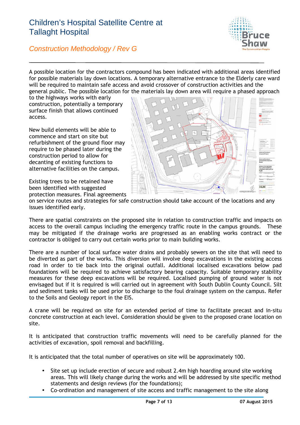

*Construction Methodology / Rev G*

A possible location for the contractors compound has been indicated with additional areas identified for possible materials lay down locations. A temporary alternative entrance to the Elderly care ward will be required to maintain safe access and avoid crossover of construction activities and the general public. The possible location for the materials lay down area will require a phased approach

to the highways works with early construction, potentially a temporary surface finish that allows continued access.

New build elements will be able to commence and start on site but refurbishment of the ground floor may require to be phased later during the construction period to allow for decanting of existing functions to alternative facilities on the campus.

Existing trees to be retained have been identified with suggested protection measures. Final agreements



on service routes and strategies for safe construction should take account of the locations and any issues identified early.

There are spatial constraints on the proposed site in relation to construction traffic and impacts on access to the overall campus including the emergency traffic route in the campus grounds. These may be mitigated if the drainage works are progressed as an enabling works contract or the contractor is obliged to carry out certain works prior to main building works.

There are a number of local surface water drains and probably sewers on the site that will need to be diverted as part of the works. This diversion will involve deep excavations in the existing access road in order to tie back into the original outfall. Additional localised excavations below pad foundations will be required to achieve satisfactory bearing capacity. Suitable temporary stability measures for these deep excavations will be required. Localised pumping of ground water is not envisaged but if it is required is will carried out in agreement with South Dublin County Council. Silt and sediment tanks will be used prior to discharge to the foul drainage system on the campus. Refer to the Soils and Geology report in the EIS.

A crane will be required on site for an extended period of time to facilitate precast and in-situ concrete construction at each level. Consideration should be given to the proposed crane location on site.

It is anticipated that construction traffic movements will need to be carefully planned for the activities of excavation, spoil removal and backfilling.

It is anticipated that the total number of operatives on site will be approximately 100.

- Site set up include erection of secure and robust 2.4m high hoarding around site working areas. This will likely change during the works and will be addressed by site specific method statements and design reviews (for the foundations);
- Co-ordination and management of site access and traffic management to the site along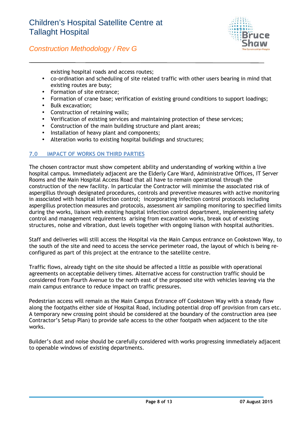

existing hospital roads and access routes;

- co-ordination and scheduling of site related traffic with other users bearing in mind that existing routes are busy;
- Formation of site entrance;
- Formation of crane base; verification of existing ground conditions to support loadings;
- Bulk excavation;
- Construction of retaining walls;
- Verification of existing services and maintaining protection of these services;
- Construction of the main building structure and plant areas;
- Installation of heavy plant and components;
- Alteration works to existing hospital buildings and structures;

#### **7.0 IMPACT OF WORKS ON THIRD PARTIES**

The chosen contractor must show competent ability and understanding of working within a live hospital campus. Immediately adjacent are the Elderly Care Ward, Administrative Offices, IT Server Rooms and the Main Hospital Access Road that all have to remain operational through the construction of the new facility. In particular the Contractor will minimise the associated risk of aspergillus through designated procedures, controls and preventive measures with active monitoring in associated with hospital infection control; incorporating infection control protocols including aspergillus protection measures and protocols, assessment air sampling monitoring to specified limits during the works, liaison with existing hospital infection control department, implementing safety control and management requirements arising from excavation works, break out of existing structures, noise and vibration, dust levels together with ongoing liaison with hospital authorities.

Staff and deliveries will still access the Hospital via the Main Campus entrance on Cookstown Way, to the south of the site and need to access the service perimeter road, the layout of which is being re configured as part of this project at the entrance to the satellite centre.

Traffic flows, already tight on the site should be affected a little as possible with operational agreements on acceptable delivery times. Alternative access for construction traffic should be considered from Fourth Avenue to the north east of the proposed site with vehicles leaving via the main campus entrance to reduce impact on traffic pressures.

Pedestrian access will remain as the Main Campus Entrance off Cookstown Way with a steady flow along the footpaths either side of Hospital Road, including potential drop off provision from cars etc. A temporary new crossing point should be considered at the boundary of the construction area (see Contractor's Setup Plan) to provide safe access to the other footpath when adjacent to the site works.

Builder's dust and noise should be carefully considered with works progressing immediately adjacent to openable windows of existing departments.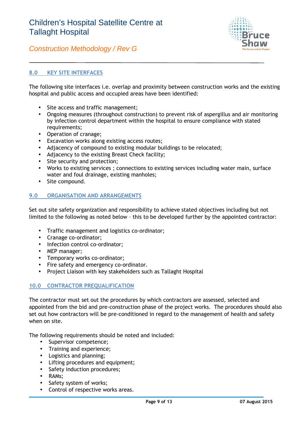

#### **8.0 KEY SITE INTERFACES**

The following site interfaces i.e. overlap and proximity between construction works and the existing hospital and public access and occupied areas have been identified:

- Site access and traffic management;
- Ongoing measures (throughout construction) to prevent risk of aspergillus and air monitoring by infection control department within the hospital to ensure compliance with stated requirements;
- Operation of cranage;
- Excavation works along existing access routes;
- Adjacency of compound to existing modular buildings to be relocated;
- Adjacency to the existing Breast Check facility;
- Site security and protection;
- Works to existing services ; connections to existing services including water main, surface water and foul drainage, existing manholes;
- Site compound.

#### **9.0 ORGANISATION AND ARRANGEMENTS**

Set out site safety organization and responsibility to achieve stated objectives including but not limited to the following as noted below – this to be developed further by the appointed contractor:

- Traffic management and logistics co-ordinator;
- Cranage co-ordinator;
- Infection control co-ordinator;
- MEP manager;
- Temporary works co-ordinator;
- Fire safety and emergency co-ordinator.
- Project Liaison with key stakeholders such as Tallaght Hospital

#### **10.0 CONTRACTOR PREQUALIFICATION**

The contractor must set out the procedures by which contractors are assessed, selected and appointed from the bid and pre-construction phase of the project works. The procedures should also set out how contractors will be pre-conditioned in regard to the management of health and safety when on site.

The following requirements should be noted and included:

- Supervisor competence;
- Training and experience;
- Logistics and planning;
- Lifting procedures and equipment;
- Safety induction procedures;
- RAMs;
- Safety system of works;
- Control of respective works areas.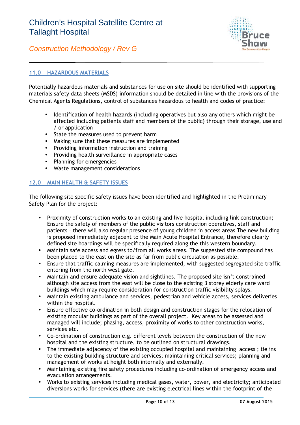

*Construction Methodology / Rev G*

#### **11.0 HAZARDOUS MATERIALS**

Potentially hazardous materials and substances for use on site should be identified with supporting materials safety data sheets (MSDS) information should be detailed in line with the provisions of the Chemical Agents Regulations, control of substances hazardous to health and codes of practice:

- Identification of health hazards (including operatives but also any others which might be affected including patients staff and members of the public) through their storage, use and / or application
- State the measures used to prevent harm
- Making sure that these measures are implemented
- Providing information instruction and training
- Providing health surveillance in appropriate cases
- Planning for emergencies
- Waste management considerations

#### **12.0 MAIN HEALTH & SAFETY ISSUES**

The following site specific safety issues have been identified and highlighted in the Preliminary Safety Plan for the project:

- Proximity of construction works to an existing and live hospital including link construction; Ensure the safety of members of the public visitors construction operatives, staff and patients – there will also regular presence of young children in access areas The new building is proposed immediately adjacent to the Main Acute Hospital Entrance, therefore clearly defined site hoardings will be specifically required along the this western boundary.
- Maintain safe access and egress to/from all works areas. The suggested site compound has been placed to the east on the site as far from public circulation as possible.
- Ensure that traffic calming measures are implemented, with suggested segregated site traffic entering from the north west gate.
- Maintain and ensure adequate vision and sightlines. The proposed site isn't constrained although site access from the east will be close to the existing 3 storey elderly care ward buildings which may require consideration for construction traffic visibility splays.
- Maintain existing ambulance and services, pedestrian and vehicle access, services deliveries within the hospital.
- Ensure effective co-ordination in both design and construction stages for the relocation of existing modular buildings as part of the overall project. Key areas to be assessed and managed will include; phasing, access, proximity of works to other construction works, services etc.
- Co-ordination of construction e.g. different levels between the construction of the new hospital and the existing structure, to be outlined on structural drawings.
- The immediate adjacency of the existing occupied hospital and maintaining access; tie ins to the existing building structure and services; maintaining critical services; planning and management of works at height both internally and externally.
- Maintaining existing fire safety procedures including co-ordination of emergency access and evacuation arrangements.
- Works to existing services including medical gases, water, power, and electricity; anticipated diversions works for services (there are existing electrical lines within the footprint of the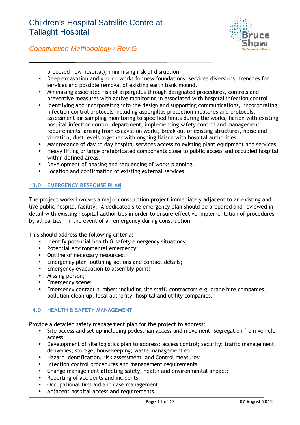

*Construction Methodology / Rev G*

proposed new hospital); minimising risk of disruption.

- Deep excavation and ground works for new foundations, services diversions, trenches for services and possible removal of existing earth bank mound.
- Minimising associated risk of aspergillus through designated procedures, controls and preventive measures with active monitoring in associated with hospital infection control
- Identifying and incorporating into the design and supporting communications, incorporating infection control protocols including aspergillus protection measures and protocols, assessment air sampling monitoring to specified limits during the works, liaison with existing hospital infection control department, implementing safety control and management requirements arising from excavation works, break out of existing structures, noise and vibration, dust levels together with ongoing liaison with hospital authorities.
- Maintenance of day to day hospital services access to existing plant equipment and services
- Heavy lifting or large prefabricated components close to public access and occupied hospital within defined areas.
- Development of phasing and sequencing of works planning.
- Location and confirmation of existing external services.

#### **13.0 EMERGENCY RESPONSE PLAN**

The project works involves a major construction project immediately adjacent to an existing and live public hospital facility. A dedicated site emergency plan should be prepared and reviewed in detail with existing hospital authorities in order to ensure effective implementation of procedures – by all parties – in the event of an emergency during construction.

This should address the following criteria:

- Identify potential health & safety emergency situations;
- Potential environmental emergency;
- Outline of necessary resources;
- Emergency plan outlining actions and contact details;
- **Emergency evacuation to assembly point;**
- Missing person;
- Emergency scene;
- Emergency contact numbers including site staff, contractors e.g. crane hire companies, pollution clean up, local authority, hospital and utility companies.

#### **14.0 HEALTH & SAFETY MANAGEMENT**

Provide a detailed safety management plan for the project to address:

- Site access and set up including pedestrian access and movement, segregation from vehicle access;
- Development of site logistics plan to address: access control; security; traffic management; deliveries; storage; housekeeping; waste management etc.
- Hazard Identification, risk assessment and Control measures;
- Infection control procedures and management requirements;
- Change management affecting safety, health and environmental impact;
- Reporting of accidents and incidents;
- Occupational first aid and case management;
- Adjacent hospital access and requirements.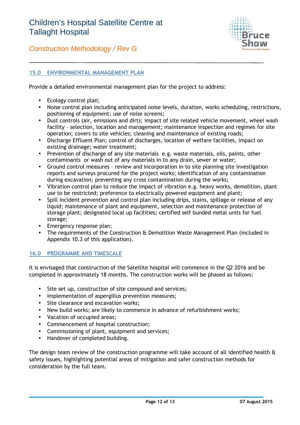

#### **15.0 ENVIRONMENTAL MANAGEMENT PLAN**

Provide a detailed environmental management plan for the project to address:

- Ecology control plan;
- Noise control plan including anticipated noise levels, duration, works scheduling, restrictions, positioning of equipment; use of noise screens;
- Dust controls (air, emissions and dirt); impact of site related vehicle movement, wheel wash facility – selection, location and management; maintenance inspection and regimes for site operation; covers to site vehicles; cleaning and maintenance of existing roads;
- Discharge Effluent Plan; control of discharges, location of welfare facilities, impact on existing drainage; water treatment;
- Prevention of discharge of any site materials e.g. waste materials, oils, paints, other contaminants or wash out of any materials in to any drain, sewer or water;
- Ground control measures review and incorporation in to site planning site investigation reports and surveys procured for the project works; identification of any contamination during excavation; preventing any cross contamination during the works;
- Vibration control plan to reduce the impact of vibration e.g. heavy works, demolition, plant use to be restricted; preference to electrically powered equipment and plant;
- Spill incident prevention and control plan including drips, stains, spillage or release of any liquid; maintenance of plant and equipment, selection and maintenance protection of storage plant; designated local up facilities; certified self bunded metal units for fuel storage;
- Emergency response plan;
- The requirements of the Construction & Demolition Waste Management Plan (included in Appendix 10.3 of this application).

#### **16.0 PROGRAMME AND TIMESCALE**

It is envisaged that construction of the Satellite hospital will commence in the Q2 2016 and be completed in approximately 18 months. The construction works will be phased as follows:

- Site set up, construction of site compound and services;
- Implementation of aspergillus prevention measures;
- Site clearance and excavation works:
- New build works; are likely to commence in advance of refurbishment works;
- Vacation of occupied areas;
- Commencement of hospital construction;
- Commissioning of plant, equipment and services;
- Handover of completed building.

The design team review of the construction programme will take account of all identified health  $\alpha$ safety issues, highlighting potential areas of mitigation and safer construction methods for consideration by the full team.